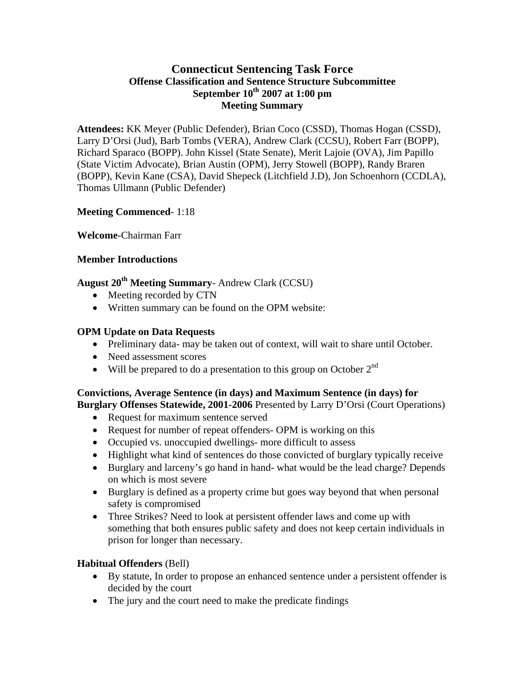## **Connecticut Sentencing Task Force Offense Classification and Sentence Structure Subcommittee September 10th 2007 at 1:00 pm Meeting Summary**

**Attendees:** KK Meyer (Public Defender), Brian Coco (CSSD), Thomas Hogan (CSSD), Larry D'Orsi (Jud), Barb Tombs (VERA), Andrew Clark (CCSU), Robert Farr (BOPP), Richard Sparaco (BOPP). John Kissel (State Senate), Merit Lajoie (OVA), Jim Papillo (State Victim Advocate), Brian Austin (OPM), Jerry Stowell (BOPP), Randy Braren (BOPP), Kevin Kane (CSA), David Shepeck (Litchfield J.D), Jon Schoenhorn (CCDLA), Thomas Ullmann (Public Defender)

### **Meeting Commenced**- 1:18

**Welcome**-Chairman Farr

### **Member Introductions**

**August 20th Meeting Summary**- Andrew Clark (CCSU)

- Meeting recorded by CTN
- Written summary can be found on the OPM website:

## **OPM Update on Data Requests**

- Preliminary data-may be taken out of context, will wait to share until October.
- Need assessment scores
- Will be prepared to do a presentation to this group on October  $2<sup>nd</sup>$

# **Convictions, Average Sentence (in days) and Maximum Sentence (in days) for**

**Burglary Offenses Statewide, 2001-2006** Presented by Larry D'Orsi (Court Operations)

- Request for maximum sentence served
- Request for number of repeat offenders- OPM is working on this
- Occupied vs. unoccupied dwellings- more difficult to assess
- Highlight what kind of sentences do those convicted of burglary typically receive
- Burglary and larceny's go hand in hand- what would be the lead charge? Depends on which is most severe
- Burglary is defined as a property crime but goes way beyond that when personal safety is compromised
- Three Strikes? Need to look at persistent offender laws and come up with something that both ensures public safety and does not keep certain individuals in prison for longer than necessary.

## **Habitual Offenders** (Bell)

- By statute, In order to propose an enhanced sentence under a persistent offender is decided by the court
- The jury and the court need to make the predicate findings